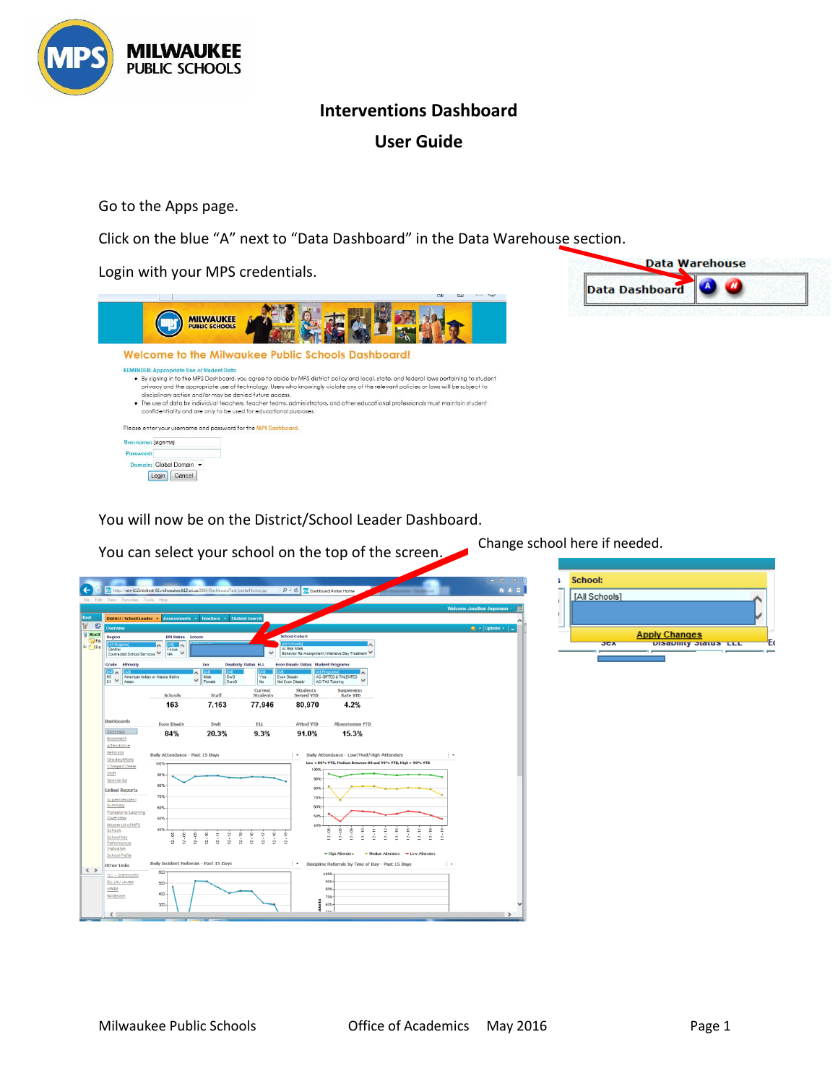

## **Interventions Dashboard**

# **User Guide**

Go to the Apps page.

Click on the blue "A" next to "Data Dashboard" in the Data Warehouse section.

Login with your MPS credentials.



Data Warehouse **Data Dashboard** 

You will now be on the District/School Leader Dashboard.



You can select your school on the top of the screen. Change school here if needed.

| School: |               |                             |  |
|---------|---------------|-----------------------------|--|
|         | [All Schools] |                             |  |
|         |               |                             |  |
|         |               |                             |  |
|         |               | <b>Apply Changes</b>        |  |
|         | <b>JUA</b>    | <b>DISGUIRLY JIGLUS LLL</b> |  |
|         |               |                             |  |
|         |               |                             |  |
|         |               |                             |  |
|         |               |                             |  |
|         |               |                             |  |
|         |               |                             |  |
|         |               |                             |  |
|         |               |                             |  |
|         |               |                             |  |
|         |               |                             |  |
|         |               |                             |  |
|         |               |                             |  |
|         |               |                             |  |
|         |               |                             |  |
|         |               |                             |  |
|         |               |                             |  |
|         |               |                             |  |
|         |               |                             |  |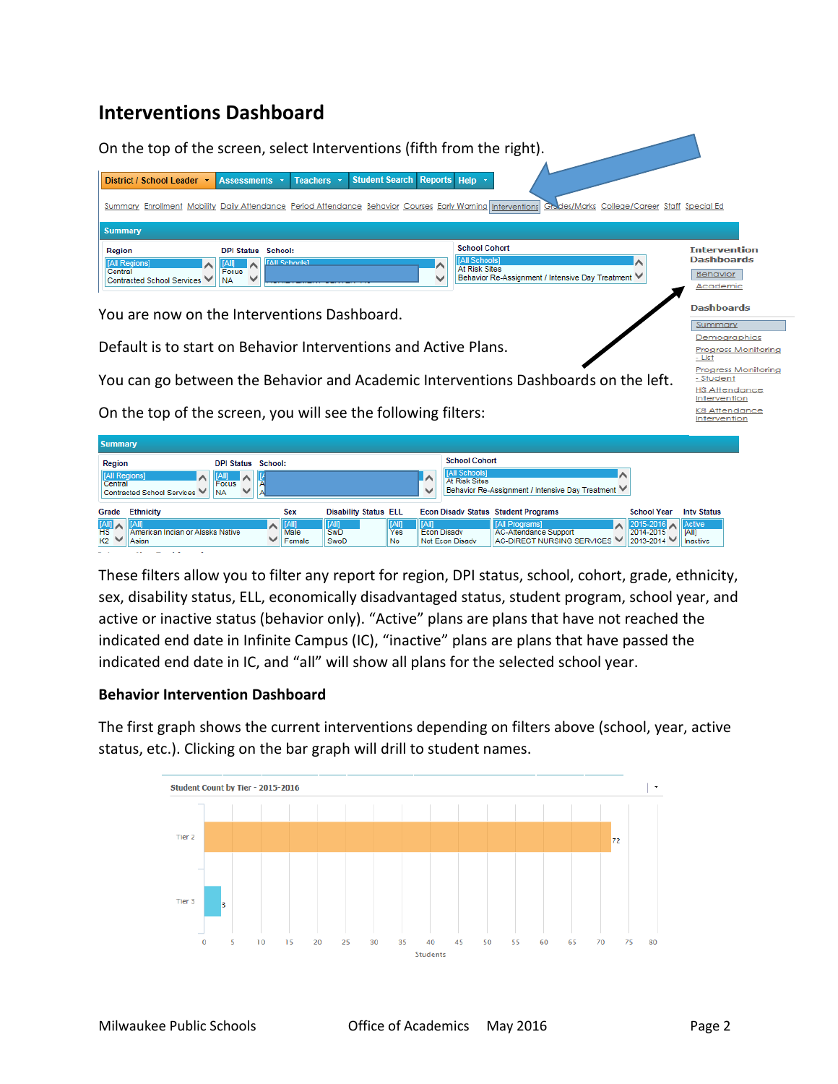# **Interventions Dashboard**



On the top of the screen, you will see the following filters:

| <b>Summary</b>                                                   |                                                                                        |                              |                              |                           |                    |                                                               |                                                                              |                                                       |                    |
|------------------------------------------------------------------|----------------------------------------------------------------------------------------|------------------------------|------------------------------|---------------------------|--------------------|---------------------------------------------------------------|------------------------------------------------------------------------------|-------------------------------------------------------|--------------------|
| Region<br>[All Regions]<br>Central<br>Contracted School Services | <b>DPI Status School:</b><br> [All]<br>∣∧<br><b>Focus</b><br>$\checkmark$<br><b>NA</b> |                              |                              |                           | ∣∧<br>$\checkmark$ | <b>School Cohort</b><br>[All Schools]<br><b>At Risk Sites</b> | Behavior Re-Assignment / Intensive Day Treatment V                           |                                                       |                    |
| <b>Ethnicity</b><br>Grade                                        |                                                                                        | <b>Sex</b>                   | <b>Disability Status ELL</b> |                           |                    |                                                               | <b>Econ Disady Status Student Programs</b>                                   | <b>School Year</b>                                    | <b>Inty Status</b> |
| $\frac{[AII]}{HS}$<br>American Indian or Alaska Native<br>Asian  | ັ                                                                                      | $\ $ [All]<br>Male<br>Female | [All]<br>SwD<br>SwoD         | [All]<br><b>Yes</b><br>No | [All]              | <b>Econ Disady</b><br>Not Econ Disadv                         | [All Programs]<br><b>AC-Attendance Support</b><br>AC-DIRECT NURSING SERVICES | 2015-2016 Active<br>2014-2015<br>$2013 - 2014$ $\vee$ | [All]<br>Inactive  |

These filters allow you to filter any report for region, DPI status, school, cohort, grade, ethnicity, sex, disability status, ELL, economically disadvantaged status, student program, school year, and active or inactive status (behavior only). "Active" plans are plans that have not reached the indicated end date in Infinite Campus (IC), "inactive" plans are plans that have passed the indicated end date in IC, and "all" will show all plans for the selected school year.

### **Behavior Intervention Dashboard**

The first graph shows the current interventions depending on filters above (school, year, active status, etc.). Clicking on the bar graph will drill to student names.



K8 Attendance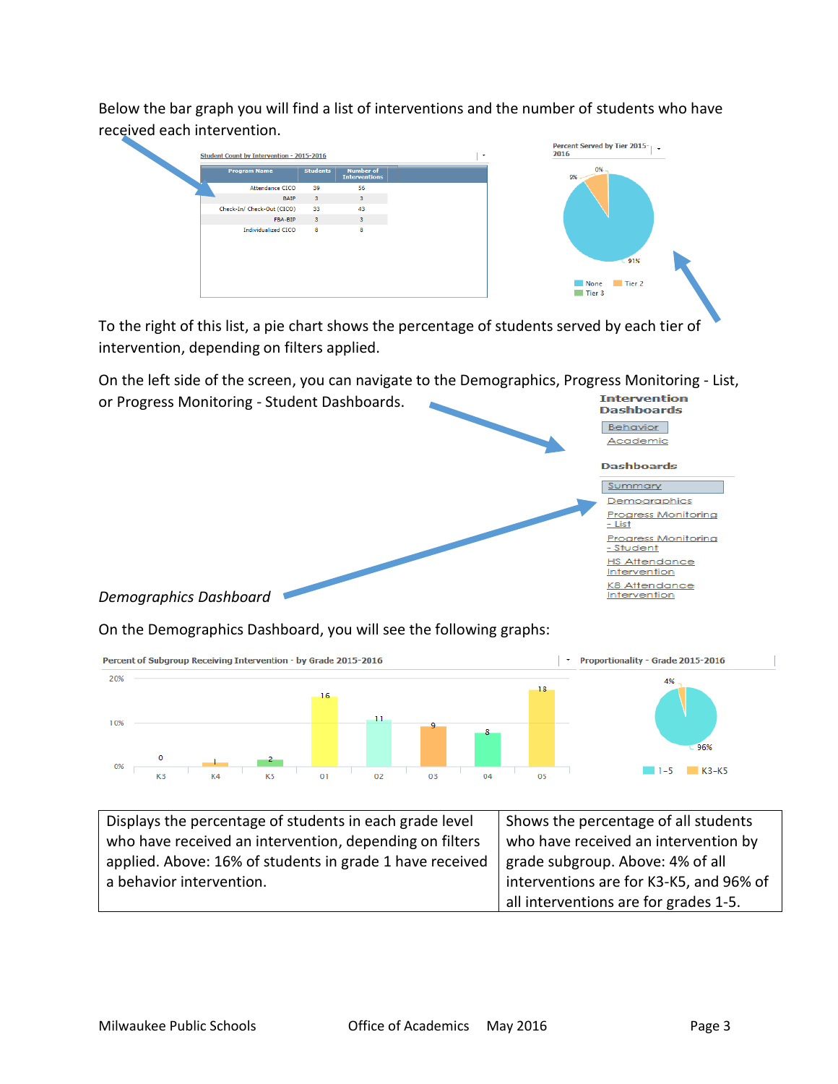Below the bar graph you will find a list of interventions and the number of students who have received each intervention.



To the right of this list, a pie chart shows the percentage of students served by each tier of intervention, depending on filters applied.

On the left side of the screen, you can navigate to the Demographics, Progress Monitoring - List,



On the Demographics Dashboard, you will see the following graphs:



| Displays the percentage of students in each grade level  | Shows the percentage of all students    |
|----------------------------------------------------------|-----------------------------------------|
| who have received an intervention, depending on filters  | who have received an intervention by    |
| applied. Above: 16% of students in grade 1 have received | grade subgroup. Above: 4% of all        |
| a behavior intervention.                                 | interventions are for K3-K5, and 96% of |
|                                                          | all interventions are for grades 1-5.   |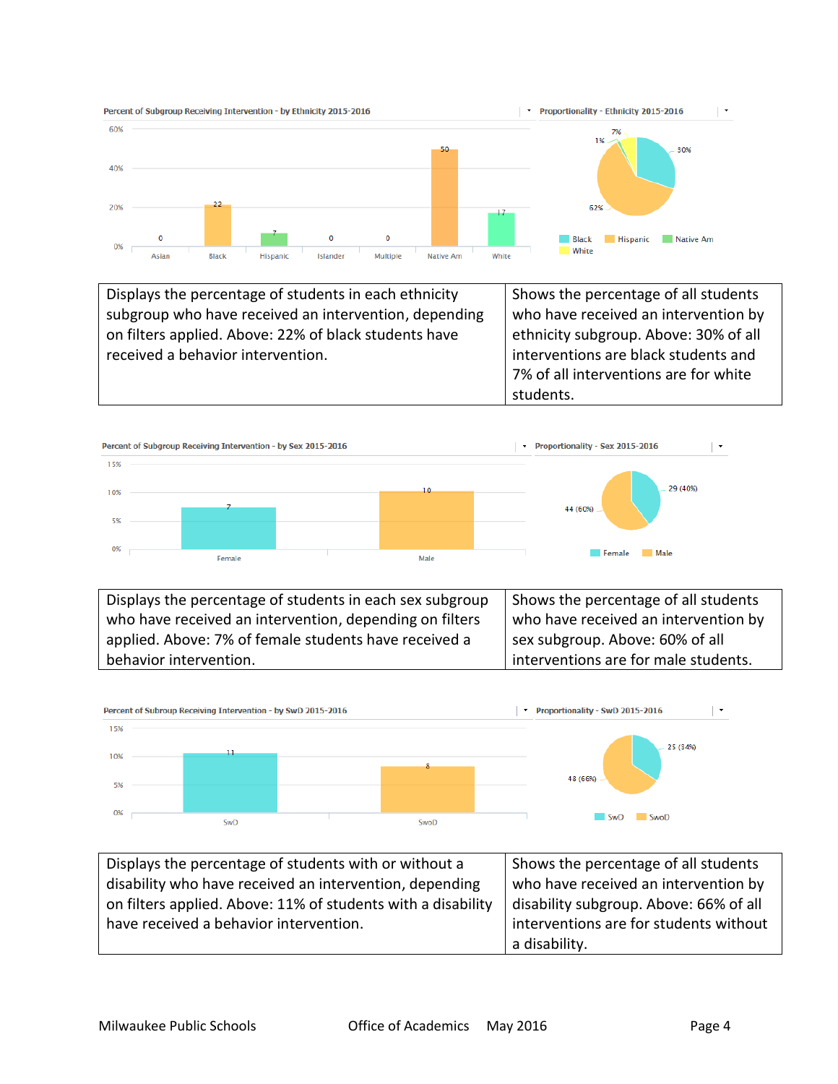

Displays the percentage of students in each ethnicity subgroup who have received an intervention, depending on filters applied. Above: 22% of black students have received a behavior intervention. Shows the percentage of all students who have received an intervention by ethnicity subgroup. Above: 30% of all interventions are black students and 7% of all interventions are for white students.



Displays the percentage of students in each sex subgroup who have received an intervention, depending on filters applied. Above: 7% of female students have received a behavior intervention. Shows the percentage of all students who have received an intervention by sex subgroup. Above: 60% of all interventions are for male students.



| Displays the percentage of students with or without a        | Shows the percentage of all students   |
|--------------------------------------------------------------|----------------------------------------|
| disability who have received an intervention, depending      | who have received an intervention by   |
| on filters applied. Above: 11% of students with a disability | disability subgroup. Above: 66% of all |
| have received a behavior intervention.                       | interventions are for students without |
|                                                              | a disability.                          |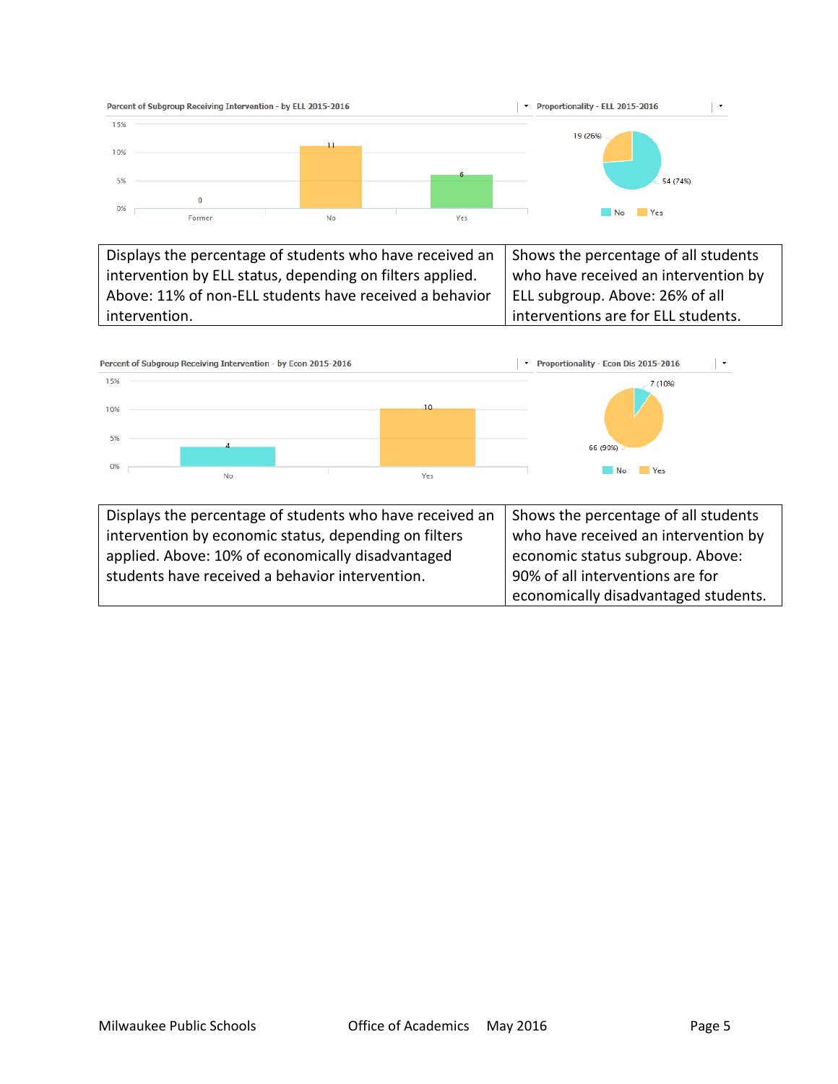

Displays the percentage of students who have received an intervention by ELL status, depending on filters applied. Above: 11% of non-ELL students have received a behavior intervention. Shows the percentage of all students who have received an intervention by ELL subgroup. Above: 26% of all interventions are for ELL students.

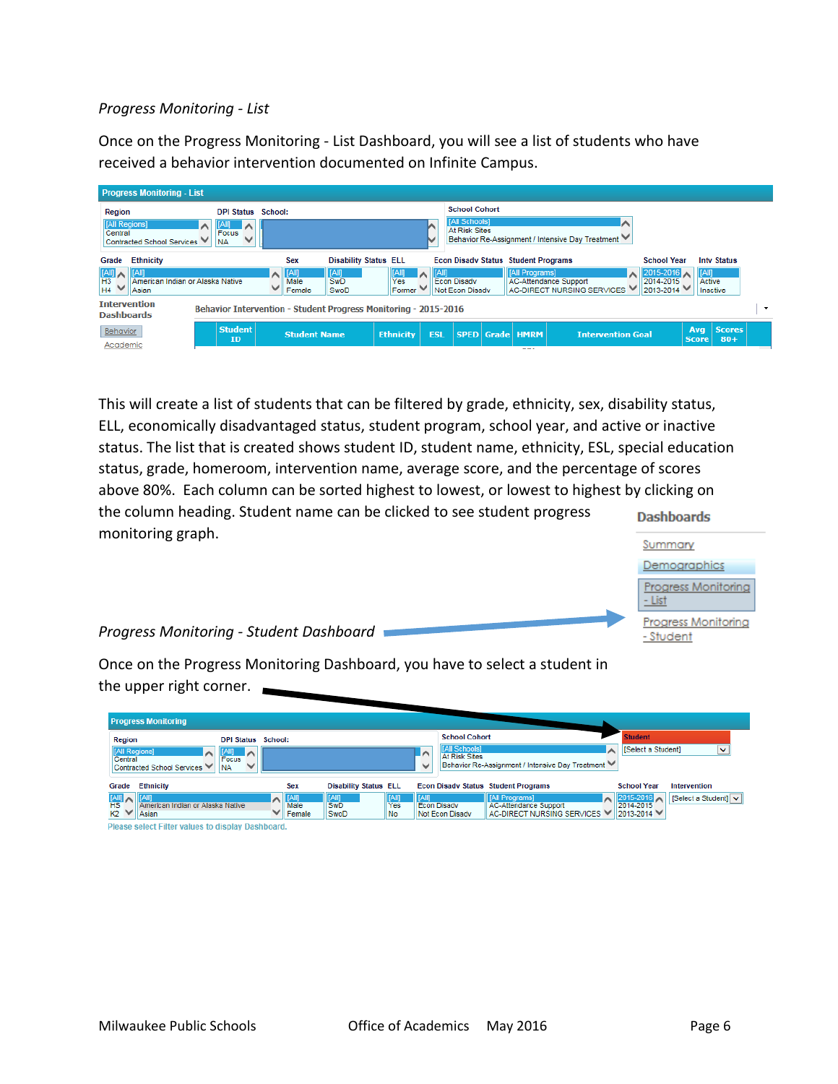### *Progress Monitoring - List*

Once on the Progress Monitoring - List Dashboard, you will see a list of students who have received a behavior intervention documented on Infinite Campus.

| <b>Progress Monitoring - List</b>                                                                 |                                                                       |                                   |                              |                         |                        |                                                                      |                                            |                                                         |                                                              |                        |                        |                          |
|---------------------------------------------------------------------------------------------------|-----------------------------------------------------------------------|-----------------------------------|------------------------------|-------------------------|------------------------|----------------------------------------------------------------------|--------------------------------------------|---------------------------------------------------------|--------------------------------------------------------------|------------------------|------------------------|--------------------------|
| Region<br>[All Regions]<br>Central<br>Contracted School Services                                  | <b>DPI Status</b><br>[All]<br>╶<br>Focus<br>$\checkmark$<br><b>NA</b> | School:                           |                              |                         |                        | <b>School Cohort</b><br><b>[All Schools]</b><br><b>At Risk Sites</b> |                                            | ∧<br>Behavior Re-Assignment / Intensive Day Treatment V |                                                              |                        |                        |                          |
| <b>Ethnicity</b><br>Grade                                                                         |                                                                       | <b>Sex</b>                        | <b>Disability Status ELL</b> |                         |                        |                                                                      | <b>Econ Disady Status Student Programs</b> |                                                         | <b>School Year</b>                                           |                        | <b>Inty Status</b>     |                          |
| [All]<br>$\begin{array}{c}\n\boxed{[A  ]}\\ \boxed{H3}\\ \boxed{H4}\n\end{array}$<br><b>Asian</b> | American Indian or Alaska Native                                      | $\ $ [All]<br>ㅅ<br>Male<br>Female | [All]<br>SwD<br>SwoD         | $\sim$<br>Yes<br>Former | $\left  \right $ [All] | <b>Econ Disadv</b><br>Not Econ Disadv                                | [All Programs]                             | AC-Attendance Support<br>AC-DIRECT NURSING SERVICES V   | $2015 - 2016$ $\wedge$<br>2014-2015<br>$12013 - 2014$ $\vee$ | <b>ITAIN</b><br>Active | Inactive               |                          |
| <b>Intervention</b><br><b>Dashboards</b>                                                          | Behavior Intervention - Student Progress Monitoring - 2015-2016       |                                   |                              |                         |                        |                                                                      |                                            |                                                         |                                                              |                        |                        | $\overline{\phantom{a}}$ |
| Behavior<br>Academic                                                                              | <b>Student</b><br><b>ID</b>                                           | <b>Student Name</b>               |                              | <b>Ethnicity</b>        | <b>ESL</b>             |                                                                      | <b>SPED Grade HMRM</b><br>---              | <b>Intervention Goal</b>                                |                                                              | Ava<br><b>Score</b>    | <b>Scores</b><br>$80+$ |                          |

This will create a list of students that can be filtered by grade, ethnicity, sex, disability status, ELL, economically disadvantaged status, student program, school year, and active or inactive status. The list that is created shows student ID, student name, ethnicity, ESL, special education status, grade, homeroom, intervention name, average score, and the percentage of scores above 80%. Each column can be sorted highest to lowest, or lowest to highest by clicking on the column heading. Student name can be clicked to see student progress **Dashboards** monitoring graph.



*Progress Monitoring - Student Dashboard*

Once on the Progress Monitoring Dashboard, you have to select a student in the upper right corner.

|                                  | <b>Progress Monitoring</b>                              |                           |                                     |                              |           |              |                                              |                                                              |                        |                      |
|----------------------------------|---------------------------------------------------------|---------------------------|-------------------------------------|------------------------------|-----------|--------------|----------------------------------------------|--------------------------------------------------------------|------------------------|----------------------|
| Region                           |                                                         | <b>DPI Status School:</b> |                                     |                              |           |              | <b>School Cohort</b>                         |                                                              | <b>Student</b>         |                      |
| [All Regions]                    | [All]<br>$\sim$                                         | ╶                         |                                     |                              |           | i A          | <b>[All Schools]</b><br><b>At Risk Sites</b> | ㅅ                                                            | [Select a Student]     | $\checkmark$         |
| Central                          | <b>Focus</b><br>Contracted School Services<br><b>NA</b> |                           |                                     |                              |           | $\checkmark$ |                                              | Behavior Re-Assignment / Intensive Day Treatment V           |                        |                      |
| Grade                            | <b>Ethnicity</b>                                        |                           | <b>Sex</b>                          | <b>Disability Status ELL</b> |           |              |                                              | <b>Econ Disady Status Student Programs</b>                   | <b>School Year</b>     | Intervention         |
| $\frac{\text{[All]}}{\text{HS}}$ |                                                         |                           | $\triangle$ $\sqrt{ \text{[All]} }$ | [All]                        | IAIII     | <b>TAIT</b>  |                                              | [All Programs]                                               | 2015-2016              | [Select a Student] v |
| $K2$ $\vee$                      | American Indian or Alaska Native<br>Asian               |                           | Male<br>Female                      | <b>SwD</b><br>SwoD           | Yes<br>No |              | <b>Econ Disady</b><br>Not Econ Disadv        | <b>AC-Attendance Support</b><br>AC-DIRECT NURSING SERVICES V | 2014-2015<br>2013-2014 |                      |
|                                  | Please select Filter values to display Dashboard.       |                           |                                     |                              |           |              |                                              |                                                              |                        |                      |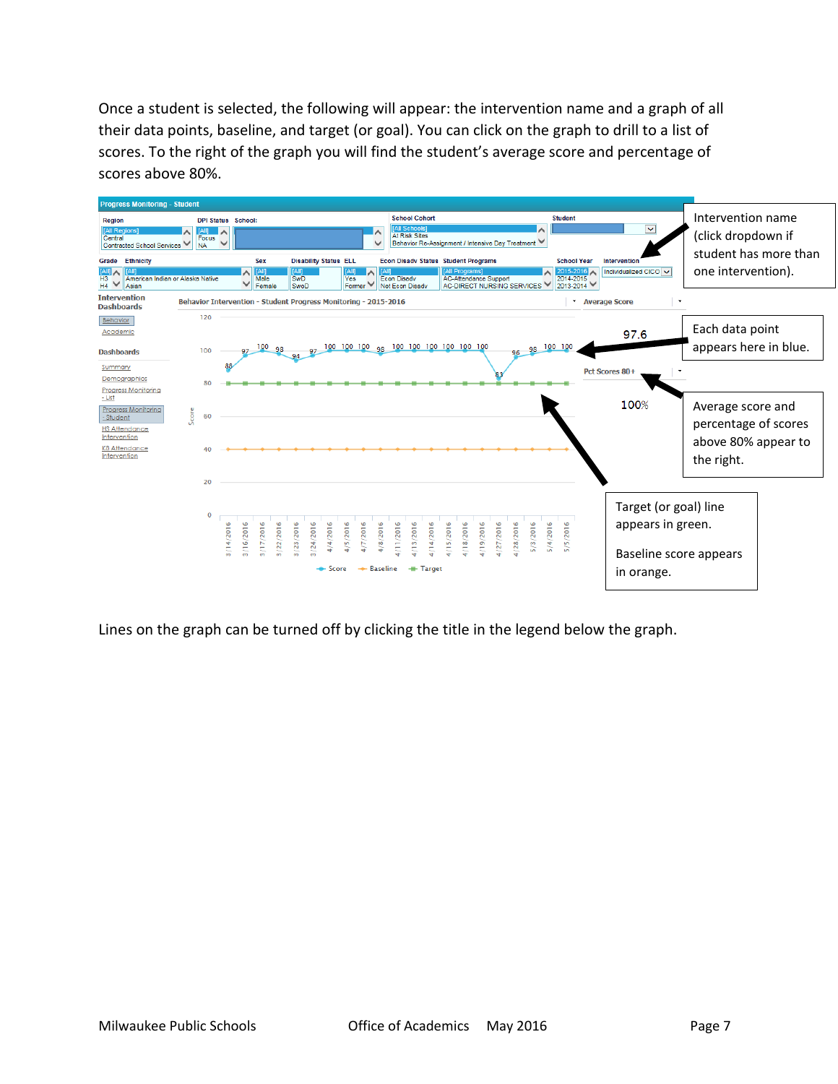Once a student is selected, the following will appear: the intervention name and a graph of all their data points, baseline, and target (or goal). You can click on the graph to drill to a list of scores. To the right of the graph you will find the student's average score and percentage of scores above 80%.



Lines on the graph can be turned off by clicking the title in the legend below the graph.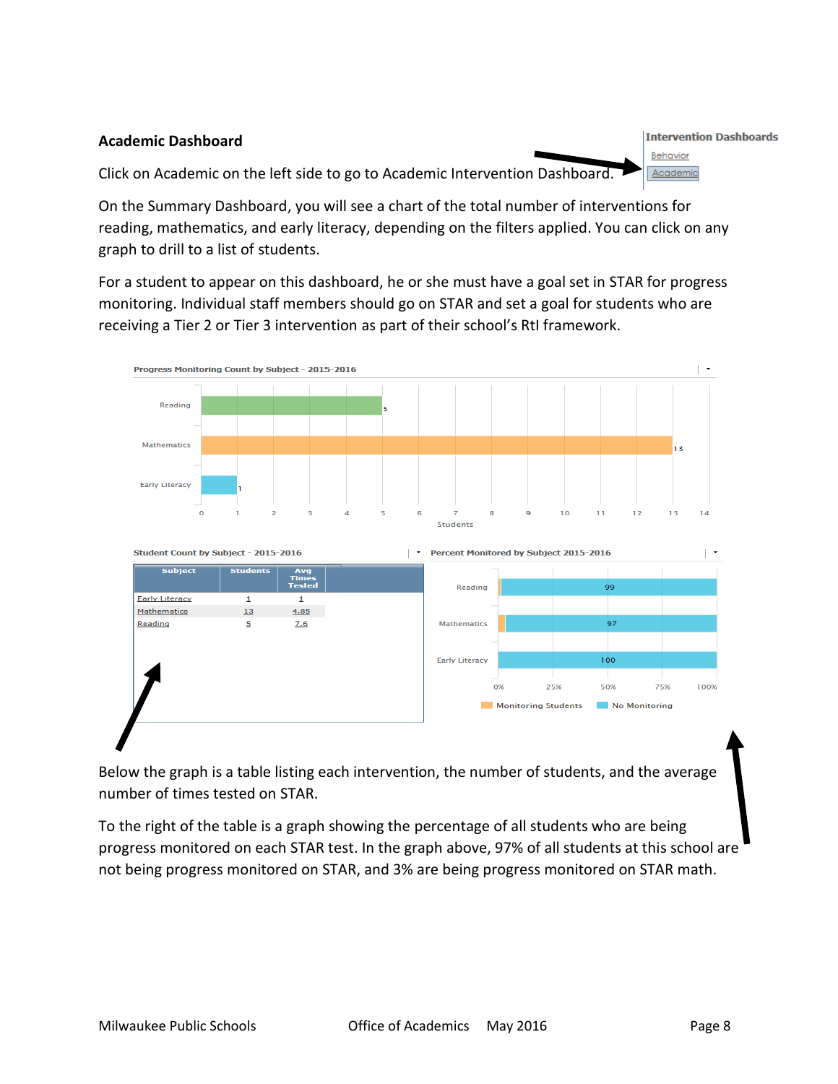#### **Intervention Dashboards Academic Dashboard** Behavior Click on Academic on the left side to go to Academic Intervention Dashboard. Academic

On the Summary Dashboard, you will see a chart of the total number of interventions for reading, mathematics, and early literacy, depending on the filters applied. You can click on any graph to drill to a list of students.

For a student to appear on this dashboard, he or she must have a goal set in STAR for progress monitoring. Individual staff members should go on STAR and set a goal for students who are receiving a Tier 2 or Tier 3 intervention as part of their school's RtI framework.



Below the graph is a table listing each intervention, the number of students, and the average number of times tested on STAR.

To the right of the table is a graph showing the percentage of all students who are being progress monitored on each STAR test. In the graph above, 97% of all students at this school are not being progress monitored on STAR, and 3% are being progress monitored on STAR math.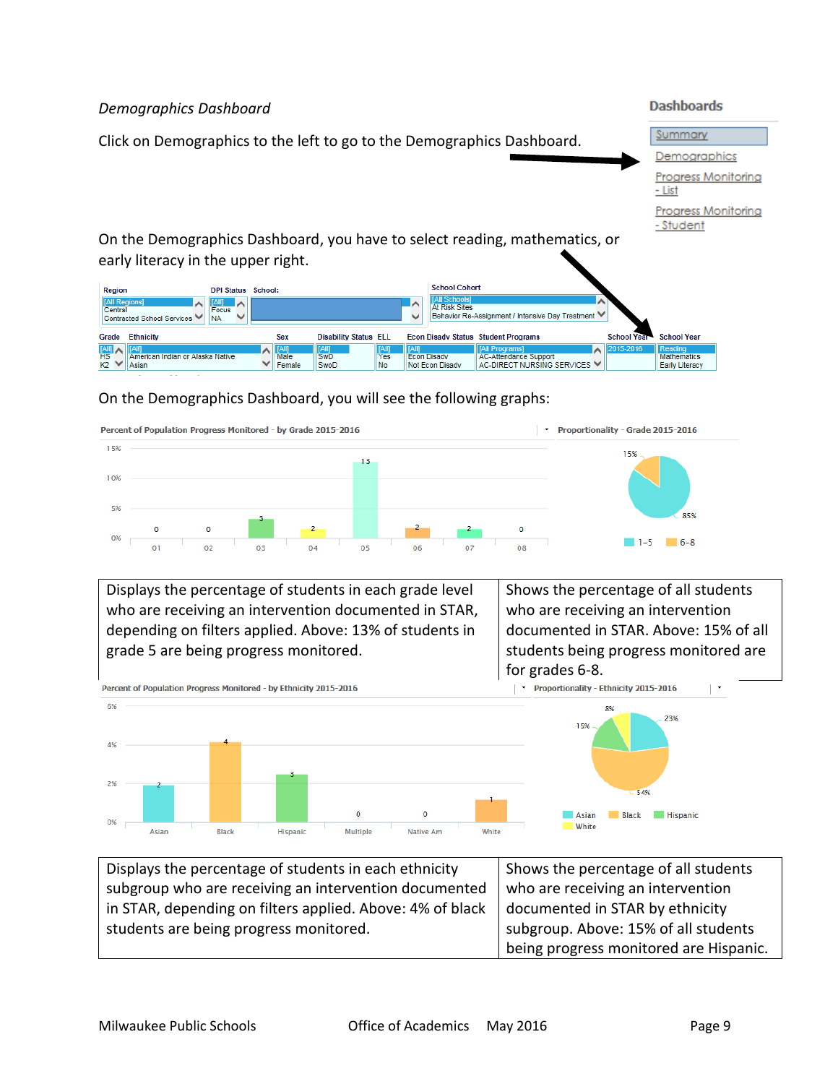

### On the Demographics Dashboard, you will see the following graphs:



Displays the percentage of students in each grade level who are receiving an intervention documented in STAR, depending on filters applied. Above: 13% of students in grade 5 are being progress monitored. Shows the percentage of all students who are receiving an intervention documented in STAR. Above: 15% of all students being progress monitored are



| Displays the percentage of students in each ethnicity     | Shows the percentage of all students   |
|-----------------------------------------------------------|----------------------------------------|
| subgroup who are receiving an intervention documented     | who are receiving an intervention      |
| in STAR, depending on filters applied. Above: 4% of black | documented in STAR by ethnicity        |
| students are being progress monitored.                    | subgroup. Above: 15% of all students   |
|                                                           | being progress monitored are Hispanic. |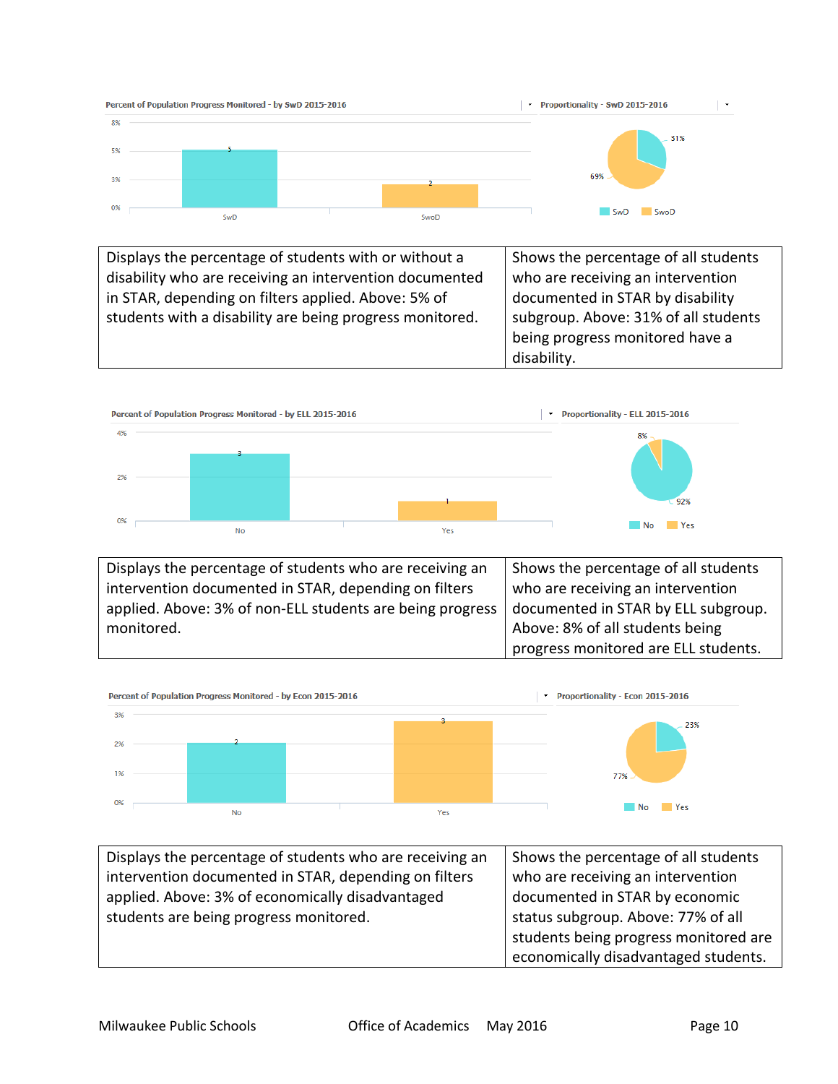

Displays the percentage of students with or without a disability who are receiving an intervention documented in STAR, depending on filters applied. Above: 5% of students with a disability are being progress monitored. Shows the percentage of all students who are receiving an intervention documented in STAR by disability subgroup. Above: 31% of all students being progress monitored have a disability.



Displays the percentage of students who are receiving an intervention documented in STAR, depending on filters applied. Above: 3% of non-ELL students are being progress monitored. Shows the percentage of all students who are receiving an intervention documented in STAR by ELL subgroup. Above: 8% of all students being progress monitored are ELL students.



| Displays the percentage of students who are receiving an | Shows the percentage of all students  |
|----------------------------------------------------------|---------------------------------------|
| intervention documented in STAR, depending on filters    | who are receiving an intervention     |
| applied. Above: 3% of economically disadvantaged         | documented in STAR by economic        |
| students are being progress monitored.                   | status subgroup. Above: 77% of all    |
|                                                          | students being progress monitored are |
|                                                          | economically disadvantaged students.  |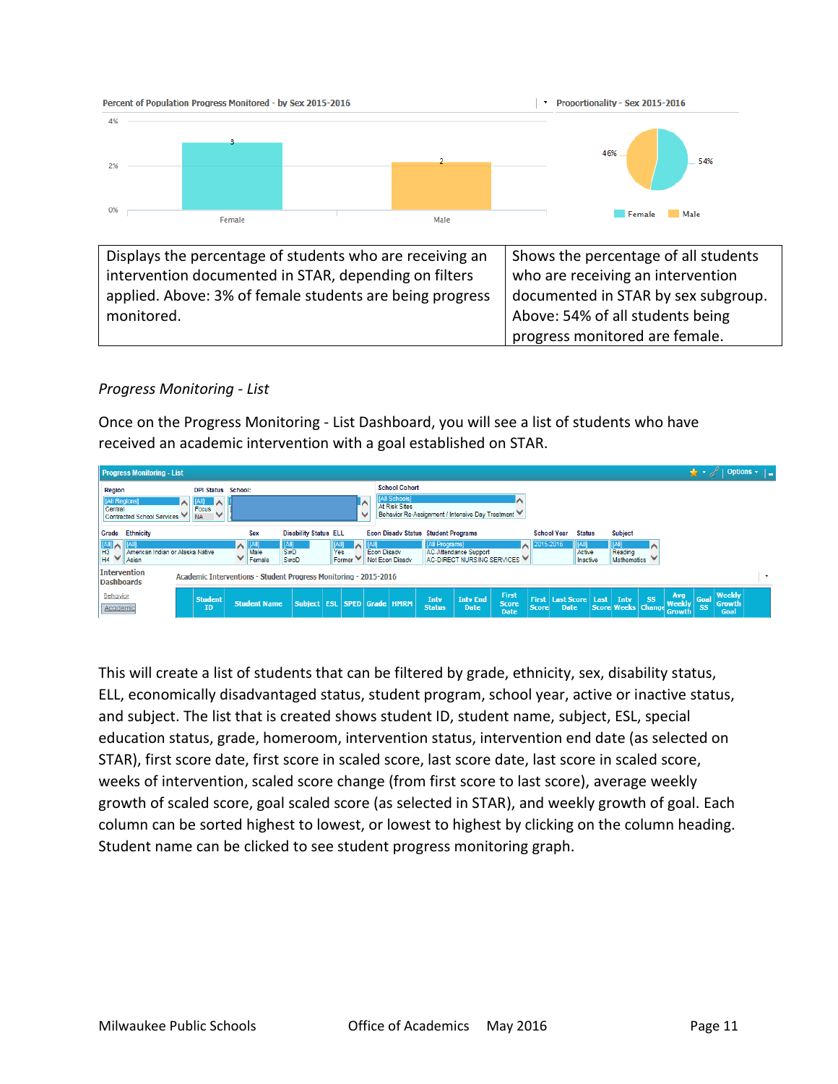

### *Progress Monitoring - List*

Once on the Progress Monitoring - List Dashboard, you will see a list of students who have received an academic intervention with a goal established on STAR.

| <b>Progress Monitoring - List</b>                                                                 |                                                                    |        |                             |                                     |                       |              |                                       |                                                               |                       |                                                  |                                      |                              |                                     |          |                               |           |                                              |                   |                          | Options $\cdot$ $\vert$ $\vert$ |         |
|---------------------------------------------------------------------------------------------------|--------------------------------------------------------------------|--------|-----------------------------|-------------------------------------|-----------------------|--------------|---------------------------------------|---------------------------------------------------------------|-----------------------|--------------------------------------------------|--------------------------------------|------------------------------|-------------------------------------|----------|-------------------------------|-----------|----------------------------------------------|-------------------|--------------------------|---------------------------------|---------|
| Region<br>[All Regions]<br>Central<br>Contracted School Services                                  | <b>DPI Status School:</b><br>$ A  $ $\wedge$<br>Focus<br><b>NA</b> |        |                             |                                     |                       | $\checkmark$ |                                       | <b>School Cohort</b><br><b>[All Schools]</b><br>At Risk Sites |                       | Behavior Re-Assignment / Intensive Day Treatment |                                      |                              |                                     |          |                               |           |                                              |                   |                          |                                 |         |
| <b>Ethnicity</b><br>Grade                                                                         |                                                                    |        | <b>Sex</b>                  | <b>Disability Status ELL</b>        |                       |              |                                       | <b>Econ Disady Status Student Programs</b>                    |                       |                                                  |                                      |                              | <b>School Year</b><br><b>Status</b> |          | <b>Subject</b>                |           |                                              |                   |                          |                                 |         |
| $\frac{1}{2}$<br><b>AIP</b><br>$H_3$<br>$H_4$ $\vee$<br>American Indian or Alaska Native<br>Asian |                                                                    | $\sim$ | $ $ [All]<br>Male<br>Female | [AII]<br><b>SwD</b><br>SwoD         | [Al]<br>Yes<br>Former |              | <b>Econ Disadv</b><br>Not Econ Disady |                                                               | <b>[All Programs]</b> | <b>AC-Attendance Support</b>                     | A<br>AC-DIRECT NURSING SERVICES      | 2015-2016                    | [All]<br>Active                     | Inactive | Reading<br><b>Mathematics</b> |           |                                              |                   |                          |                                 |         |
| <b>Intervention</b><br><b>Dashboards</b>                                                          | Academic Interventions - Student Progress Monitoring - 2015-2016   |        |                             |                                     |                       |              |                                       |                                                               |                       |                                                  |                                      |                              |                                     |          |                               |           |                                              |                   |                          |                                 | $\cdot$ |
| Behavior<br>Academic                                                                              | <b>Student</b><br>ID                                               |        | <b>Student Name</b>         | Subject   ESL   SPED   Grade   HMRM |                       |              |                                       |                                                               | Intv<br><b>Status</b> | <b>Inty End</b><br><b>Date</b>                   | First<br><b>Score</b><br><b>Date</b> | <b>First</b><br><b>Score</b> | Last Score   Last  <br><b>Date</b>  |          | Intv<br>Score Weeks Change    | <b>SS</b> | <b>Avg</b><br><b>Weekly</b><br><b>Growth</b> | Goal<br><b>SS</b> | Weekly<br>Growth<br>Goal |                                 |         |

This will create a list of students that can be filtered by grade, ethnicity, sex, disability status, ELL, economically disadvantaged status, student program, school year, active or inactive status, and subject. The list that is created shows student ID, student name, subject, ESL, special education status, grade, homeroom, intervention status, intervention end date (as selected on STAR), first score date, first score in scaled score, last score date, last score in scaled score, weeks of intervention, scaled score change (from first score to last score), average weekly growth of scaled score, goal scaled score (as selected in STAR), and weekly growth of goal. Each column can be sorted highest to lowest, or lowest to highest by clicking on the column heading. Student name can be clicked to see student progress monitoring graph.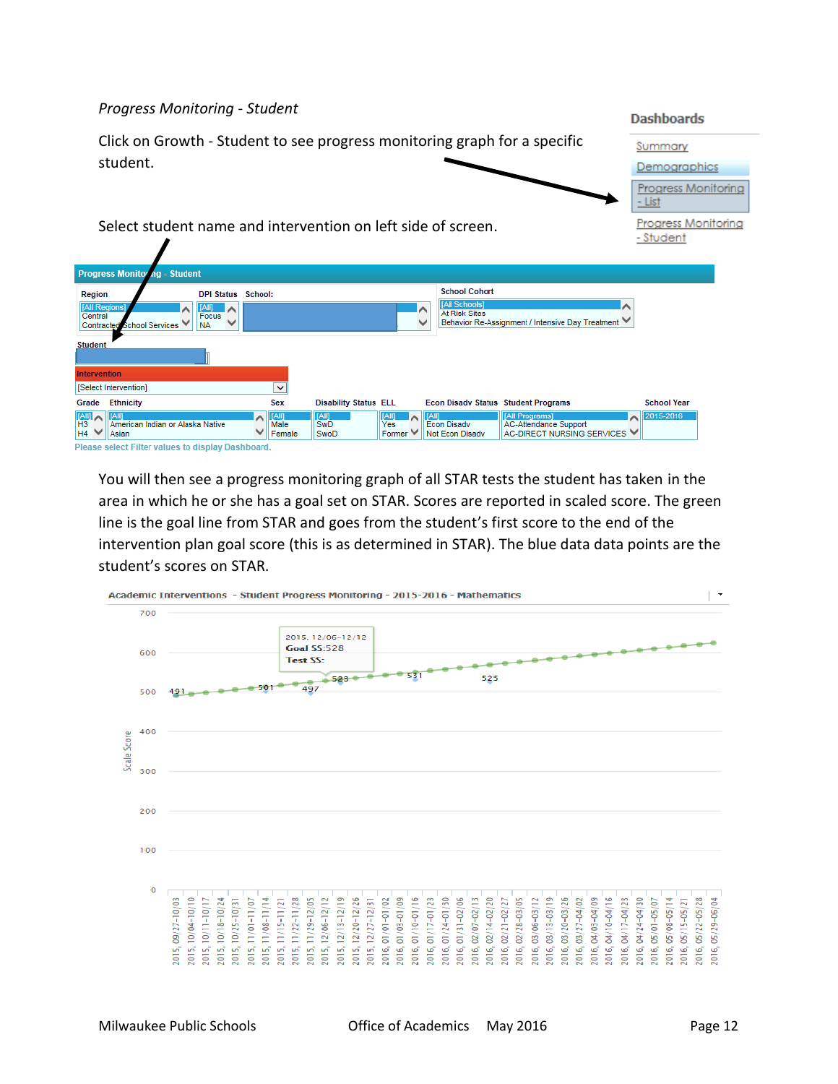### *Progress Monitoring - Student*

Ţ

|                                       |                                                                           |                             |                               |                              |                                |                                                      |                                                                              | Dajiliyai uj                            |  |
|---------------------------------------|---------------------------------------------------------------------------|-----------------------------|-------------------------------|------------------------------|--------------------------------|------------------------------------------------------|------------------------------------------------------------------------------|-----------------------------------------|--|
|                                       | Click on Growth - Student to see progress monitoring graph for a specific |                             |                               |                              |                                |                                                      |                                                                              | Summary                                 |  |
|                                       | student.                                                                  |                             |                               |                              |                                |                                                      |                                                                              | Demographics                            |  |
|                                       |                                                                           |                             |                               |                              |                                |                                                      |                                                                              | Progress Monitoring<br>- List           |  |
|                                       | Select student name and intervention on left side of screen.              |                             |                               |                              |                                |                                                      |                                                                              | <b>Progress Monitoring</b><br>- Student |  |
|                                       | <b>Progress Monitoring - Student</b>                                      |                             |                               |                              |                                |                                                      |                                                                              |                                         |  |
| Region                                |                                                                           | <b>DPI Status School:</b>   |                               |                              |                                | <b>School Cohort</b>                                 |                                                                              |                                         |  |
| [All Regions<br>Central<br>Contracted | <b>School Services</b>                                                    | [All]<br>Focus<br><b>NA</b> |                               |                              | ∣∧<br>v                        | [All Schools]<br><b>At Risk Sites</b>                | Behavior Re-Assignment / Intensive Day Treatment ₩                           |                                         |  |
| <b>Student</b>                        |                                                                           |                             |                               |                              |                                |                                                      |                                                                              |                                         |  |
| <b>Intervention</b>                   |                                                                           |                             |                               |                              |                                |                                                      |                                                                              |                                         |  |
|                                       | [Select Intervention]                                                     |                             | $\checkmark$                  |                              |                                |                                                      |                                                                              |                                         |  |
| Grade                                 | <b>Ethnicity</b>                                                          |                             | <b>Sex</b>                    | <b>Disability Status ELL</b> |                                | <b>Econ Disady Status Student Programs</b>           |                                                                              | <b>School Year</b>                      |  |
| H <sub>3</sub><br>H4                  | American Indian or Alaska Native<br>Asian                                 |                             | <b>TAIN</b><br>Male<br>Female | [AM]<br>SwD<br>SwoD          | <b>TAIT</b><br>Yes<br>Former V | <b>TAIT</b><br><b>Econ Disadv</b><br>Not Econ Disady | [All Programs]<br><b>AC-Attendance Support</b><br>AC-DIRECT NURSING SERVICES | 2015-2016<br>$\hat{\phantom{a}}$        |  |
|                                       | Please select Filter values to display Dashboard.                         |                             |                               |                              |                                |                                                      |                                                                              |                                         |  |

You will then see a progress monitoring graph of all STAR tests the student has taken in the area in which he or she has a goal set on STAR. Scores are reported in scaled score. The green line is the goal line from STAR and goes from the student's first score to the end of the intervention plan goal score (this is as determined in STAR). The blue data data points are the student's scores on STAR.



Dachhoardc